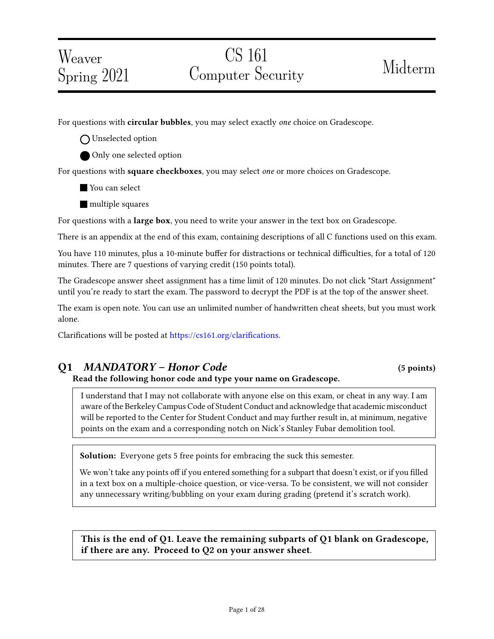# Weaver Spring 2021

# CS 161 Computer Security Midterm

For questions with **circular bubbles**, you may select exactly *one* choice on Gradescope.

O Unselected option

Only one selected option

For questions with square checkboxes, you may select one or more choices on Gradescope.

You can select

**multiple squares** 

For questions with a **large box**, you need to write your answer in the text box on Gradescope.

There is an appendix at the end of this exam, containing descriptions of all C functions used on this exam.

You have 110 minutes, plus a 10-minute buffer for distractions or technical difficulties, for a total of 120 minutes. There are 7 questions of varying credit (150 points total).

The Gradescope answer sheet assignment has a time limit of 120 minutes. Do not click "Start Assignment" until you're ready to start the exam. The password to decrypt the PDF is at the top of the answer sheet.

The exam is open note. You can use an unlimited number of handwritten cheat sheets, but you must work alone.

Clarifications will be posted at https://cs161.org/clarifications.

## Q1 MANDATORY – Honor Code (5 points)

Read the following honor code and type your name on Gradescope.

I understand that I may not collaborate with anyone else on this exam, or cheat in any way. I am aware of the Berkeley Campus Code of Student Conduct and acknowledge that academic misconduct will be reported to the Center for Student Conduct and may further result in, at minimum, negative points on the exam and a corresponding notch on Nick's Stanley Fubar demolition tool.

**Solution:** Everyone gets 5 free points for embracing the suck this semester.

We won't take any points off if you entered something for a subpart that doesn't exist, or if you filled in a text box on a multiple-choice question, or vice-versa. To be consistent, we will not consider any unnecessary writing/bubbling on your exam during grading (pretend it's scratch work).

This is the end of Q1. Leave the remaining subparts of Q1 blank on Gradescope, if there are any. Proceed to Q2 on your answer sheet.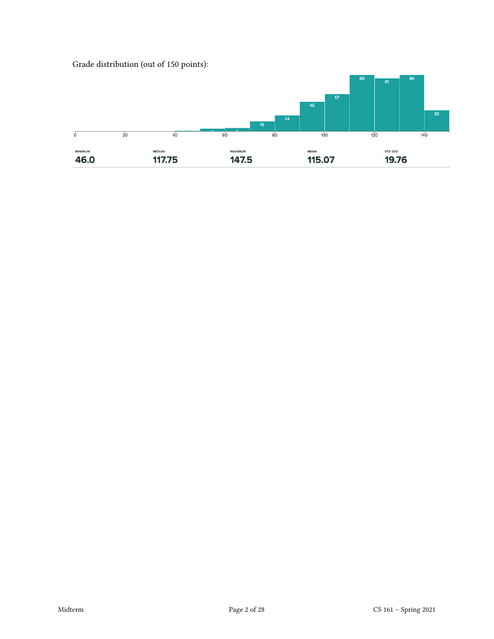

Grade distribution (out of 150 points):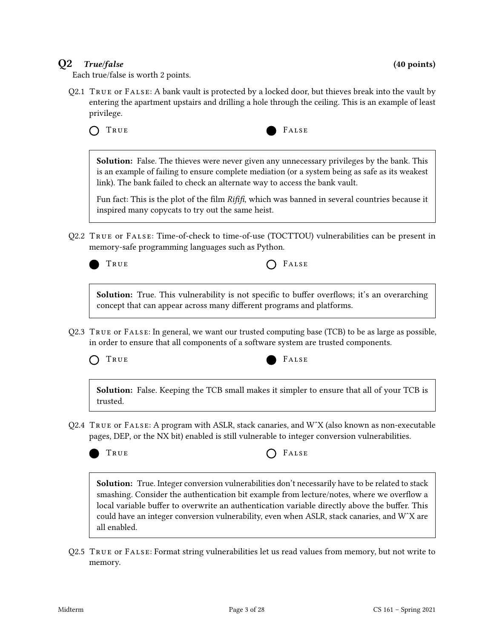### $Q2$  True/false (40 points)

Each true/false is worth 2 points.

Q2.1 True or False: A bank vault is protected by a locked door, but thieves break into the vault by entering the apartment upstairs and drilling a hole through the ceiling. This is an example of least privilege.



**Solution:** False. The thieves were never given any unnecessary privileges by the bank. This is an example of failing to ensure complete mediation (or a system being as safe as its weakest link). The bank failed to check an alternate way to access the bank vault.

Fun fact: This is the plot of the film  $Rif\hat{H}$ , which was banned in several countries because it inspired many copycats to try out the same heist.

Q2.2 True or False: Time-of-check to time-of-use (TOCTTOU) vulnerabilities can be present in memory-safe programming languages such as Python.



TRUE **CONSTRUE** 

Solution: True. This vulnerability is not specific to buffer overflows; it's an overarching concept that can appear across many different programs and platforms.

Q2.3 True or False: In general, we want our trusted computing base (TCB) to be as large as possible, in order to ensure that all components of a software system are trusted components.



Solution: False. Keeping the TCB small makes it simpler to ensure that all of your TCB is trusted.

Q2.4 True or False: A program with ASLR, stack canaries, and WˆX (also known as non-executable pages, DEP, or the NX bit) enabled is still vulnerable to integer conversion vulnerabilities.



TRUE **CONSTRUE** 

Solution: True. Integer conversion vulnerabilities don't necessarily have to be related to stack smashing. Consider the authentication bit example from lecture/notes, where we overflow a local variable buffer to overwrite an authentication variable directly above the buffer. This could have an integer conversion vulnerability, even when ASLR, stack canaries, and WˆX are all enabled.

Q2.5 True or False: Format string vulnerabilities let us read values from memory, but not write to memory.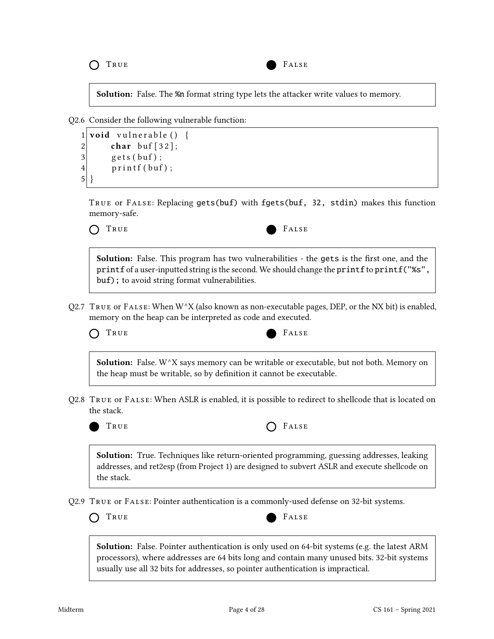TRUE **FALSE** 



Solution: False. The %n format string type lets the attacker write values to memory.

Q2.6 Consider the following vulnerable function:

```
1 void vulnerable () {
2 char buf [32];
3 \vert gets (buf);
4 printf (buf);
5| }
```
True or False: Replacing gets(buf) with fgets(buf, 32, stdin) makes this function memory-safe.



Solution: False. This program has two vulnerabilities - the gets is the first one, and the printf of a user-inputted string is the second. We should change the printf to printf("%s", buf); to avoid string format vulnerabilities.

Q2.7 TRUE or FALSE: When  $W^{\wedge}X$  (also known as non-executable pages, DEP, or the NX bit) is enabled, memory on the heap can be interpreted as code and executed.

TRUE **FALSE** 



**Solution:** False.  $W^{\wedge}X$  says memory can be writable or executable, but not both. Memory on the heap must be writable, so by definition it cannot be executable.

Q2.8 True or False: When ASLR is enabled, it is possible to redirect to shellcode that is located on the stack.





Solution: True. Techniques like return-oriented programming, guessing addresses, leaking addresses, and ret2esp (from Project 1) are designed to subvert ASLR and execute shellcode on the stack.

Q2.9 True or False: Pointer authentication is a commonly-used defense on 32-bit systems.





Solution: False. Pointer authentication is only used on 64-bit systems (e.g. the latest ARM processors), where addresses are 64 bits long and contain many unused bits. 32-bit systems usually use all 32 bits for addresses, so pointer authentication is impractical.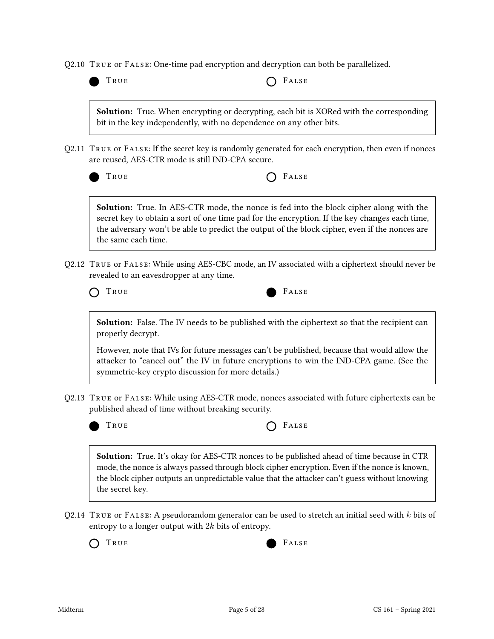| TRUE                                                  | FALSE                                                                                                                                                                                                                                                                                              |
|-------------------------------------------------------|----------------------------------------------------------------------------------------------------------------------------------------------------------------------------------------------------------------------------------------------------------------------------------------------------|
|                                                       | Solution: True. When encrypting or decrypting, each bit is XORed with the corresponding<br>bit in the key independently, with no dependence on any other bits.                                                                                                                                     |
| are reused, AES-CTR mode is still IND-CPA secure.     | Q2.11 TRUE or FALSE: If the secret key is randomly generated for each encryption, then even if nonces                                                                                                                                                                                              |
| TRUE                                                  | FALSE                                                                                                                                                                                                                                                                                              |
| the same each time.                                   | <b>Solution:</b> True. In AES-CTR mode, the nonce is fed into the block cipher along with the<br>secret key to obtain a sort of one time pad for the encryption. If the key changes each time,<br>the adversary won't be able to predict the output of the block cipher, even if the nonces are    |
| revealed to an eavesdropper at any time.              | Q2.12 TRUE or FALSE: While using AES-CBC mode, an IV associated with a ciphertext should never be                                                                                                                                                                                                  |
| TRUE                                                  | FALSE                                                                                                                                                                                                                                                                                              |
| properly decrypt.                                     | <b>Solution:</b> False. The IV needs to be published with the ciphertext so that the recipient can                                                                                                                                                                                                 |
|                                                       | However, note that IVs for future messages can't be published, because that would allow the<br>attacker to "cancel out" the IV in future encryptions to win the IND-CPA game. (See the<br>symmetric-key crypto discussion for more details.)                                                       |
| published ahead of time without breaking security.    | Q2.13   TRUE or FALSE: While using AES-CTR mode, nonces associated with future ciphertexts can be                                                                                                                                                                                                  |
| TRUE                                                  | FALSE                                                                                                                                                                                                                                                                                              |
| the secret key.                                       | <b>Solution:</b> True. It's okay for AES-CTR nonces to be published ahead of time because in CTR<br>mode, the nonce is always passed through block cipher encryption. Even if the nonce is known,<br>the block cipher outputs an unpredictable value that the attacker can't guess without knowing |
|                                                       | Q2.14 $\,$ T <code>RUE</code> or <code>FALSE:</code> A pseudorandom generator can be used to stretch an initial seed with $k$ bits of                                                                                                                                                              |
| entropy to a longer output with $2k$ bits of entropy. |                                                                                                                                                                                                                                                                                                    |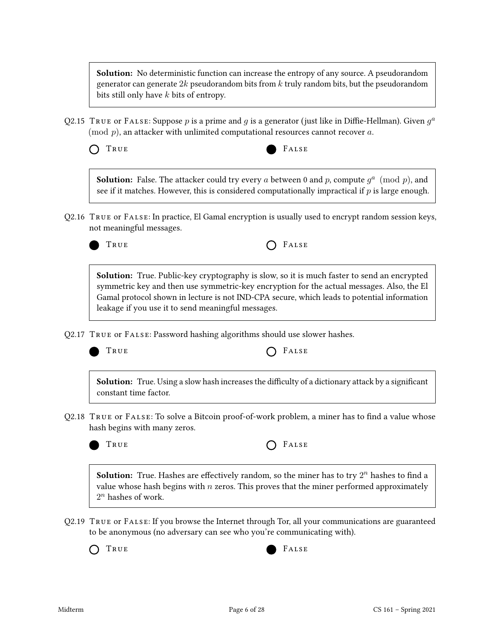**Solution:** No deterministic function can increase the entropy of any source. A pseudorandom generator can generate  $2k$  pseudorandom bits from k truly random bits, but the pseudorandom bits still only have k bits of entropy.

- Q2.15 TRUE or FALSE: Suppose  $p$  is a prime and  $g$  is a generator (just like in Diffie-Hellman). Given  $g^a$  $\pmod{p}$ , an attacker with unlimited computational resources cannot recover a.
	- TRUE **FALSE**



**Solution:** False. The attacker could try every a between 0 and p, compute  $g^a \pmod{p}$ , and see if it matches. However, this is considered computationally impractical if  $p$  is large enough.

Q2.16 True or False: In practice, El Gamal encryption is usually used to encrypt random session keys, not meaningful messages.



TRUE **CONSTRUE** 

Solution: True. Public-key cryptography is slow, so it is much faster to send an encrypted symmetric key and then use symmetric-key encryption for the actual messages. Also, the El Gamal protocol shown in lecture is not IND-CPA secure, which leads to potential information leakage if you use it to send meaningful messages.

Q2.17 True or False: Password hashing algorithms should use slower hashes.



TRUE **CONSTRUE** 

**Solution:** True. Using a slow hash increases the difficulty of a dictionary attack by a significant constant time factor.

Q2.18 TRUE OF FALSE: To solve a Bitcoin proof-of-work problem, a miner has to find a value whose hash begins with many zeros.

| True | $O$ FALSE |
|------|-----------|
|------|-----------|

**Solution:** True. Hashes are effectively random, so the miner has to try  $2^n$  hashes to find a value whose hash begins with  $n$  zeros. This proves that the miner performed approximately  $2^n$  hashes of work.

Q2.19 True or False: If you browse the Internet through Tor, all your communications are guaranteed to be anonymous (no adversary can see who you're communicating with).

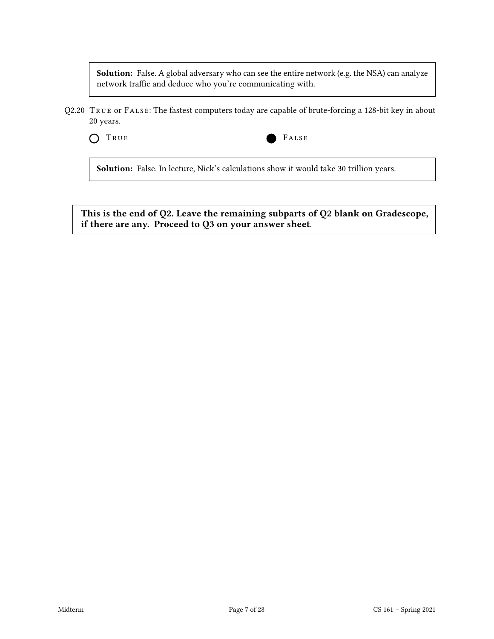Solution: False. A global adversary who can see the entire network (e.g. the NSA) can analyze network traffic and deduce who you're communicating with.

Q2.20 True or False: The fastest computers today are capable of brute-forcing a 128-bit key in about 20 years.



Solution: False. In lecture, Nick's calculations show it would take 30 trillion years.

This is the end of Q2. Leave the remaining subparts of Q2 blank on Gradescope, if there are any. Proceed to Q3 on your answer sheet.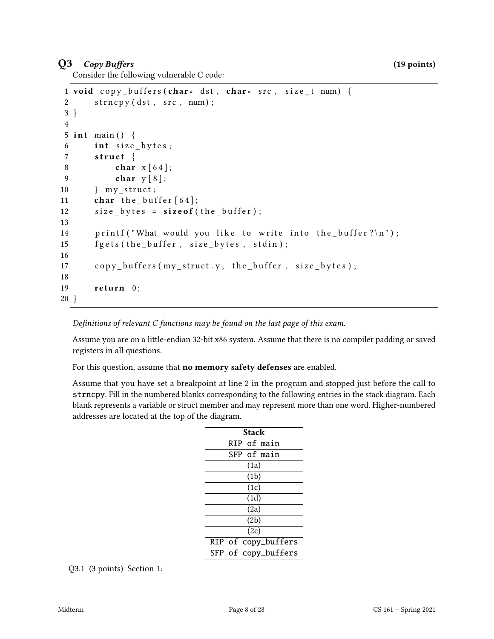## $Q3$  Copy Buffers (19 points)

Consider the following vulnerable C code:

```
1 void copy_buffers (char * dst, char * src, size_t num) {
2 strncpy (dst, src, num);
3}
4
5 int main () {
6 int size_bytes;
7 struct {
8 char x [64];
9 char y [8];
10 } my_struct;
11 char the buffer [64];
12 size_bytes = size of (the_buffer);
13
14 printf ("What would you like to write into the buffer?\ln");
15 \left| \right| f g e t s (the buffer, size bytes, stdin);
16
17 copy_buffers (my_struct.y, the_buffer, size_bytes);
18
19 return 0;
20 }
```
Definitions of relevant  $C$  functions may be found on the last page of this exam.

Assume you are on a little-endian 32-bit x86 system. Assume that there is no compiler padding or saved registers in all questions.

For this question, assume that **no memory safety defenses** are enabled.

Assume that you have set a breakpoint at line 2 in the program and stopped just before the call to strncpy. Fill in the numbered blanks corresponding to the following entries in the stack diagram. Each blank represents a variable or struct member and may represent more than one word. Higher-numbered addresses are located at the top of the diagram.

| Stack       |  |                     |  |
|-------------|--|---------------------|--|
| RIP of main |  |                     |  |
|             |  | SFP of main         |  |
| (1a)        |  |                     |  |
| (1b)        |  |                     |  |
| (1c)        |  |                     |  |
| (1d)        |  |                     |  |
| (2a)        |  |                     |  |
| (2b)        |  |                     |  |
| (2c)        |  |                     |  |
|             |  | RIP of copy_buffers |  |
|             |  | SFP of copy_buffers |  |

Q3.1 (3 points) Section 1: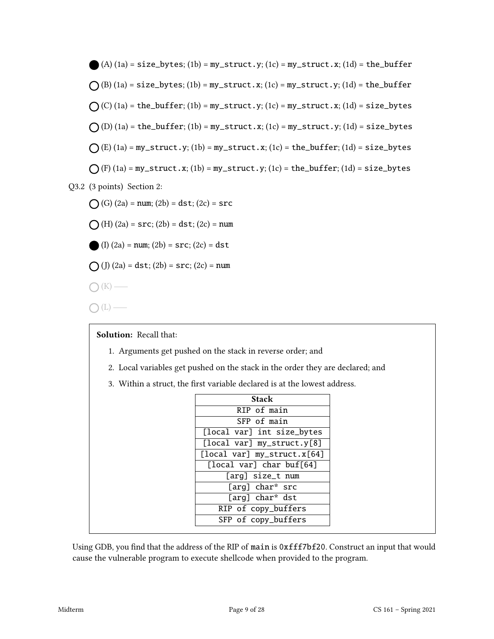(A) (1a) = size\_bytes; (1b) = my\_struct.y; (1c) = my\_struct.x; (1d) = the\_buffer (B) (1a) = size\_bytes; (1b) = my\_struct.x; (1c) = my\_struct.y; (1d) = the\_buffer (C) (1a) = the\_buffer; (1b) = my\_struct.y; (1c) = my\_struct.x; (1d) = size\_bytes (D) (1a) = the\_buffer; (1b) = my\_struct.x; (1c) = my\_struct.y; (1d) = size\_bytes (E) (1a) = my\_struct.y; (1b) = my\_struct.x; (1c) = the\_buffer; (1d) = size\_bytes (F) (1a) = my\_struct.x; (1b) = my\_struct.y; (1c) = the\_buffer; (1d) = size\_bytes Q3.2 (3 points) Section 2: (G) (2a) = num; (2b) = dst; (2c) = src (H) (2a) = src; (2b) = dst; (2c) = num (I) (2a) = num; (2b) = src; (2c) = dst (J) (2a) = dst; (2b) = src; (2c) = num (K)

 $\bigcap(L)$  —

Solution: Recall that:

- 1. Arguments get pushed on the stack in reverse order; and
- 2. Local variables get pushed on the stack in the order they are declared; and
- 3. Within a struct, the first variable declared is at the lowest address.

| Stack                       |
|-----------------------------|
| RIP of main                 |
| SFP of main                 |
| [local var] int size_bytes  |
| [local var] my_struct.y[8]  |
| [local var] my_struct.x[64] |
| [local var] char buf[64]    |
| [arg] size_t num            |
| [arg] char* src             |
| [arg] char* dst             |
| RIP of copy_buffers         |
| SFP of copy_buffers         |

Using GDB, you find that the address of the RIP of main is 0xfff7bf20. Construct an input that would cause the vulnerable program to execute shellcode when provided to the program.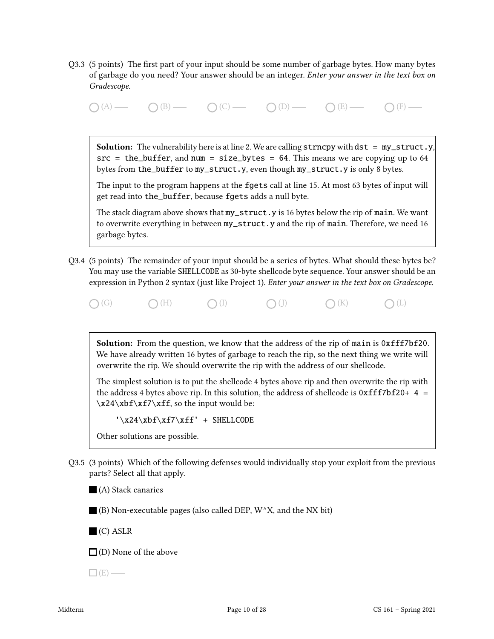Q3.3 (5 points) The first part of your input should be some number of garbage bytes. How many bytes of garbage do you need? Your answer should be an integer. Enter your answer in the text box on Gradescope.

 $\bigcap (A) \longrightarrow \bigcap (B) \longrightarrow \bigcap (C) \longrightarrow \bigcap (D) \longrightarrow \bigcap (E) \longrightarrow \bigcap (F) \longrightarrow$ 

**Solution:** The vulnerability here is at line 2. We are calling  $strncpy$  with dst =  $my\_struct.y$ ,  $src = the_buffer, and num = size_bytes = 64. This means we are copying up to 64$ bytes from the\_buffer to my\_struct.y, even though my\_struct.y is only 8 bytes.

The input to the program happens at the fgets call at line 15. At most 63 bytes of input will get read into the\_buffer, because fgets adds a null byte.

The stack diagram above shows that my\_struct.y is 16 bytes below the rip of main. We want to overwrite everything in between my\_struct.y and the rip of main. Therefore, we need 16 garbage bytes.

Q3.4 (5 points) The remainder of your input should be a series of bytes. What should these bytes be? You may use the variable SHELLCODE as 30-byte shellcode byte sequence. Your answer should be an expression in Python 2 syntax (just like Project 1). Enter your answer in the text box on Gradescope.

 $\bigcap(G)$  (G)  $\longrightarrow$   $\bigcap(H)$   $\longrightarrow$   $\bigcap(I)$   $\longrightarrow$   $\bigcap(H)$   $\longrightarrow$   $\bigcap(H)$   $\longrightarrow$   $\bigcap(H)$   $\longrightarrow$   $\bigcap(H)$   $\longrightarrow$   $\bigcap(H)$   $\longrightarrow$   $\bigcap(H)$   $\longrightarrow$   $\bigcap(H)$   $\longrightarrow$   $\bigcap(H)$   $\longrightarrow$   $\bigcap(H)$   $\longrightarrow$   $\bigcap(H)$   $\longrightarrow$   $\bigcap(H)$   $\longrightarrow$   $\bigcap(H)$   $\longrightarrow$   $\bigcap(H)$   $\longrightarrow$   $\bigcap(H)$ 

Solution: From the question, we know that the address of the rip of main is 0xfff7bf20. We have already written 16 bytes of garbage to reach the rip, so the next thing we write will overwrite the rip. We should overwrite the rip with the address of our shellcode.

The simplest solution is to put the shellcode 4 bytes above rip and then overwrite the rip with the address 4 bytes above rip. In this solution, the address of shellcode is  $0xfff7bf20+ 4 =$  $\x24\xbf{x}f7\xff$ , so the input would be:

 $'\x24\xbf\xf7\xff' + SHELLODE$ 

Other solutions are possible.

Q3.5 (3 points) Which of the following defenses would individually stop your exploit from the previous parts? Select all that apply.

 $\blacksquare$  (A) Stack canaries

 $\blacksquare$  (B) Non-executable pages (also called DEP, W^X, and the NX bit)

(C) ASLR

 $\square$  (D) None of the above

 $\Box$  (E) —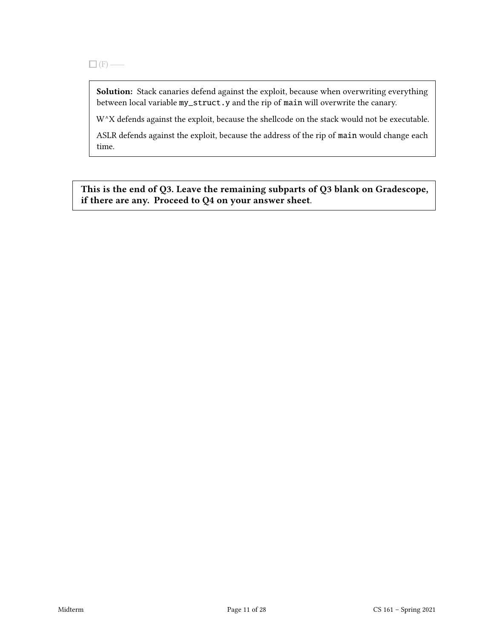Solution: Stack canaries defend against the exploit, because when overwriting everything between local variable my\_struct.y and the rip of main will overwrite the canary.

W^X defends against the exploit, because the shellcode on the stack would not be executable.

ASLR defends against the exploit, because the address of the rip of main would change each time.

This is the end of Q3. Leave the remaining subparts of Q3 blank on Gradescope, if there are any. Proceed to Q4 on your answer sheet.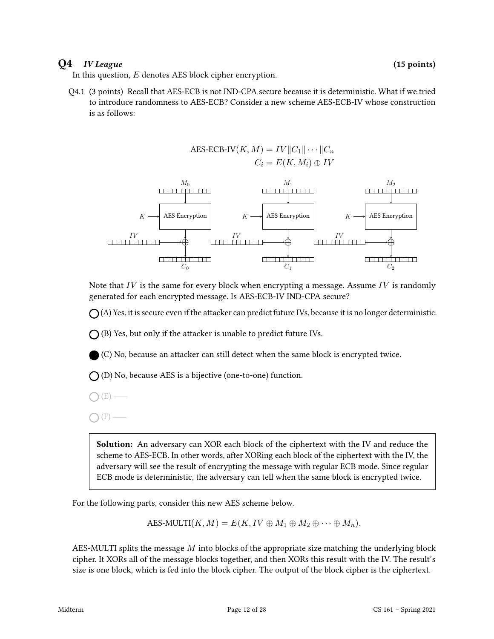#### $Q4$  *IV League* (15 points)

In this question,  $E$  denotes AES block cipher encryption.

Q4.1 (3 points) Recall that AES-ECB is not IND-CPA secure because it is deterministic. What if we tried to introduce randomness to AES-ECB? Consider a new scheme AES-ECB-IV whose construction is as follows:



Note that  $IV$  is the same for every block when encrypting a message. Assume  $IV$  is randomly generated for each encrypted message. Is AES-ECB-IV IND-CPA secure?

 $\bigcap$  (A) Yes, it is secure even if the attacker can predict future IVs, because it is no longer deterministic.

 $\bigcap$  (B) Yes, but only if the attacker is unable to predict future IVs.

(C) No, because an attacker can still detect when the same block is encrypted twice.

 $\bigcap$  (D) No, because AES is a bijective (one-to-one) function.

 $(E)$  —

 $(F)$  —

Solution: An adversary can XOR each block of the ciphertext with the IV and reduce the scheme to AES-ECB. In other words, after XORing each block of the ciphertext with the IV, the adversary will see the result of encrypting the message with regular ECB mode. Since regular ECB mode is deterministic, the adversary can tell when the same block is encrypted twice.

For the following parts, consider this new AES scheme below.

AES-MULTI $(K, M) = E(K, IV \oplus M_1 \oplus M_2 \oplus \cdots \oplus M_n).$ 

AES-MULTI splits the message M into blocks of the appropriate size matching the underlying block cipher. It XORs all of the message blocks together, and then XORs this result with the IV. The result's size is one block, which is fed into the block cipher. The output of the block cipher is the ciphertext.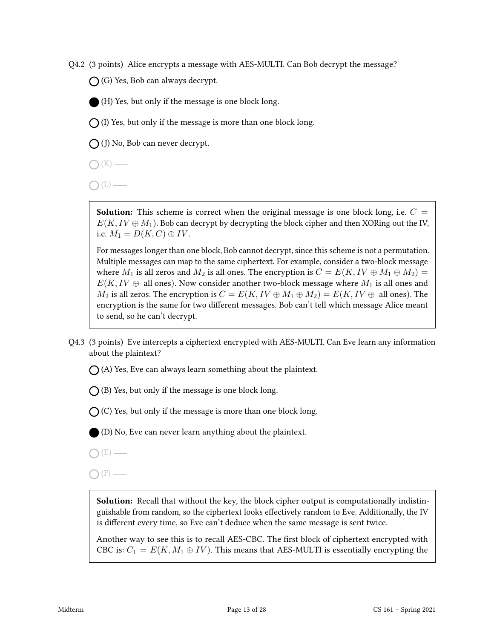Q4.2 (3 points) Alice encrypts a message with AES-MULTI. Can Bob decrypt the message?

 $\bigcap$  (G) Yes, Bob can always decrypt.

(H) Yes, but only if the message is one block long.

 $\bigcap$  (I) Yes, but only if the message is more than one block long.

 $\bigcap$  (J) No, Bob can never decrypt.

- $\bigcap (K)$  —
- $\bigcap(L)$  —

**Solution:** This scheme is correct when the original message is one block long, i.e.  $C =$  $E(K, IV \oplus M_1)$ . Bob can decrypt by decrypting the block cipher and then XORing out the IV, i.e.  $M_1 = D(K, C) \oplus IV$ .

For messages longer than one block, Bob cannot decrypt, since this scheme is not a permutation. Multiple messages can map to the same ciphertext. For example, consider a two-block message where  $M_1$  is all zeros and  $M_2$  is all ones. The encryption is  $C = E(K, IV \oplus M_1 \oplus M_2)$  $E(K, IV \oplus$  all ones). Now consider another two-block message where  $M_1$  is all ones and  $M_2$  is all zeros. The encryption is  $C = E(K, IV \oplus M_1 \oplus M_2) = E(K, IV \oplus$  all ones). The encryption is the same for two different messages. Bob can't tell which message Alice meant to send, so he can't decrypt.

- Q4.3 (3 points) Eve intercepts a ciphertext encrypted with AES-MULTI. Can Eve learn any information about the plaintext?
	- $\bigcap$  (A) Yes, Eve can always learn something about the plaintext.
	- $\bigcap$  (B) Yes, but only if the message is one block long.
	- $\bigcap$  (C) Yes, but only if the message is more than one block long.

(D) No, Eve can never learn anything about the plaintext.

 $O(E)$  —

 $\bigcap$  (F) —

Solution: Recall that without the key, the block cipher output is computationally indistinguishable from random, so the ciphertext looks effectively random to Eve. Additionally, the IV is different every time, so Eve can't deduce when the same message is sent twice.

Another way to see this is to recall AES-CBC. The first block of ciphertext encrypted with CBC is:  $C_1 = E(K, M_1 \oplus IV)$ . This means that AES-MULTI is essentially encrypting the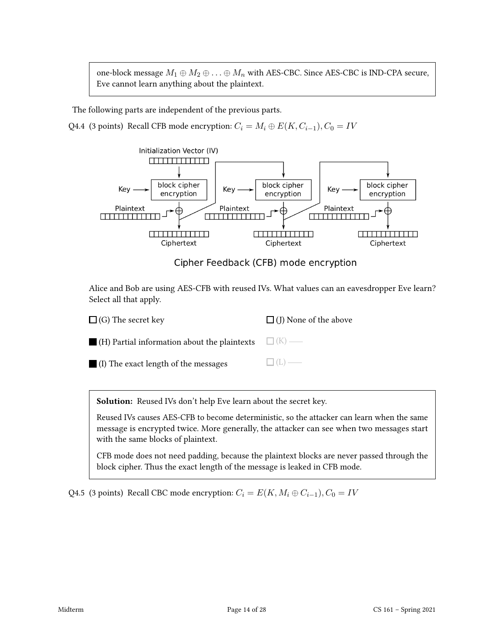one-block message  $M_1 \oplus M_2 \oplus \ldots \oplus M_n$  with AES-CBC. Since AES-CBC is IND-CPA secure, Eve cannot learn anything about the plaintext.

The following parts are independent of the previous parts.

Q4.4 (3 points) Recall CFB mode encryption:  $C_i = M_i \oplus E(K, C_{i-1}), C_0 = IV$ 



Cipher Feedback (CFB) mode encryption

Alice and Bob are using AES-CFB with reused IVs. What values can an eavesdropper Eve learn? Select all that apply.

| $\Box$ (G) The secret key                                        | $\Box$ (J) None of the above |
|------------------------------------------------------------------|------------------------------|
| $\Box$ (H) Partial information about the plaintexts $\Box$ (K) — |                              |
| $\blacksquare$ (I) The exact length of the messages              | $\Box$ (L) —                 |

Solution: Reused IVs don't help Eve learn about the secret key.

Reused IVs causes AES-CFB to become deterministic, so the attacker can learn when the same message is encrypted twice. More generally, the attacker can see when two messages start with the same blocks of plaintext.

CFB mode does not need padding, because the plaintext blocks are never passed through the block cipher. Thus the exact length of the message is leaked in CFB mode.

Q4.5 (3 points) Recall CBC mode encryption:  $C_i = E(K, M_i \oplus C_{i-1}), C_0 = IV$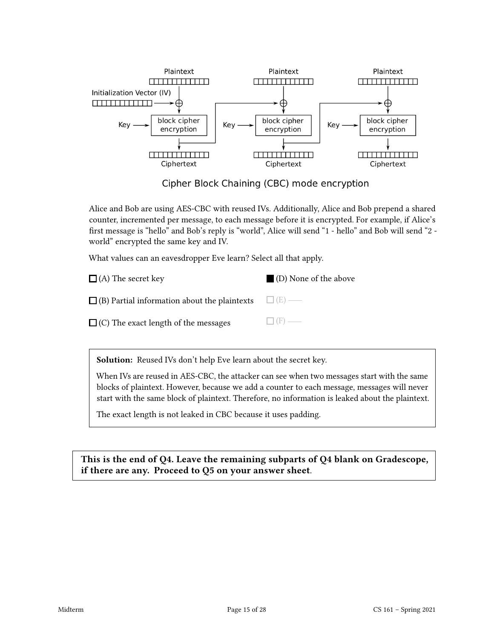

Cipher Block Chaining (CBC) mode encryption

Alice and Bob are using AES-CBC with reused IVs. Additionally, Alice and Bob prepend a shared counter, incremented per message, to each message before it is encrypted. For example, if Alice's first message is "hello" and Bob's reply is "world", Alice will send "1 - hello" and Bob will send "2 world" encrypted the same key and IV.

What values can an eavesdropper Eve learn? Select all that apply.

| $\Box$ (A) The secret key                                        | ■ (D) None of the above |
|------------------------------------------------------------------|-------------------------|
| $\Box$ (B) Partial information about the plaintexts $\Box$ (E) — |                         |
| $\Box$ (C) The exact length of the messages                      | $\Box$ (F) —            |

Solution: Reused IVs don't help Eve learn about the secret key.

When IVs are reused in AES-CBC, the attacker can see when two messages start with the same blocks of plaintext. However, because we add a counter to each message, messages will never start with the same block of plaintext. Therefore, no information is leaked about the plaintext.

The exact length is not leaked in CBC because it uses padding.

This is the end of Q4. Leave the remaining subparts of Q4 blank on Gradescope, if there are any. Proceed to Q5 on your answer sheet.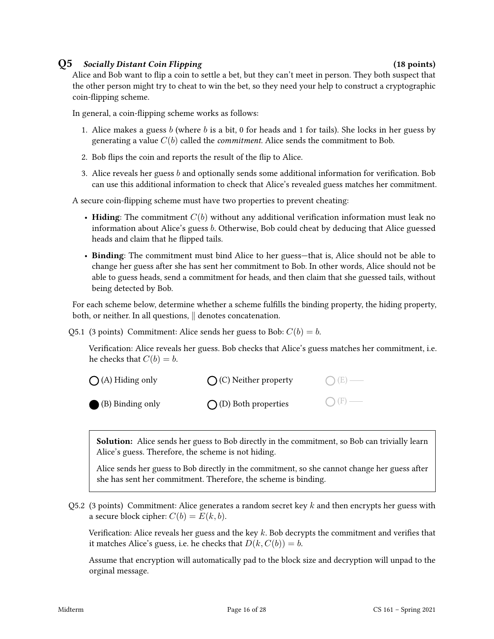#### Q5 Socially Distant Coin Flipping (18 points)

Alice and Bob want to flip a coin to settle a bet, but they can't meet in person. They both suspect that the other person might try to cheat to win the bet, so they need your help to construct a cryptographic coin-flipping scheme.

In general, a coin-flipping scheme works as follows:

- 1. Alice makes a guess b (where b is a bit, 0 for heads and 1 for tails). She locks in her guess by generating a value  $C(b)$  called the *commitment*. Alice sends the commitment to Bob.
- 2. Bob flips the coin and reports the result of the flip to Alice.
- 3. Alice reveals her guess  $b$  and optionally sends some additional information for verification. Bob can use this additional information to check that Alice's revealed guess matches her commitment.

A secure coin-flipping scheme must have two properties to prevent cheating:

- Hiding: The commitment  $C(b)$  without any additional verification information must leak no information about Alice's guess b. Otherwise, Bob could cheat by deducing that Alice guessed heads and claim that he flipped tails.
- Binding: The commitment must bind Alice to her guess—that is, Alice should not be able to change her guess after she has sent her commitment to Bob. In other words, Alice should not be able to guess heads, send a commitment for heads, and then claim that she guessed tails, without being detected by Bob.

For each scheme below, determine whether a scheme fulfills the binding property, the hiding property, both, or neither. In all questions,  $\parallel$  denotes concatenation.

Q5.1 (3 points) Commitment: Alice sends her guess to Bob:  $C(b) = b$ .

Verification: Alice reveals her guess. Bob checks that Alice's guess matches her commitment, i.e. he checks that  $C(b) = b$ .

| $\bigcap$ (A) Hiding only | $\bigcap$ (C) Neither property | $O(E)$ — |
|---------------------------|--------------------------------|----------|
| (B) Binding only          | $\bigcap$ (D) Both properties  | $O(F)$ — |

Solution: Alice sends her guess to Bob directly in the commitment, so Bob can trivially learn Alice's guess. Therefore, the scheme is not hiding.

Alice sends her guess to Bob directly in the commitment, so she cannot change her guess after she has sent her commitment. Therefore, the scheme is binding.

Q5.2 (3 points) Commitment: Alice generates a random secret key  $k$  and then encrypts her guess with a secure block cipher:  $C(b) = E(k, b)$ .

Verification: Alice reveals her guess and the key  $k$ . Bob decrypts the commitment and verifies that it matches Alice's guess, i.e. he checks that  $D(k, C(b)) = b$ .

Assume that encryption will automatically pad to the block size and decryption will unpad to the orginal message.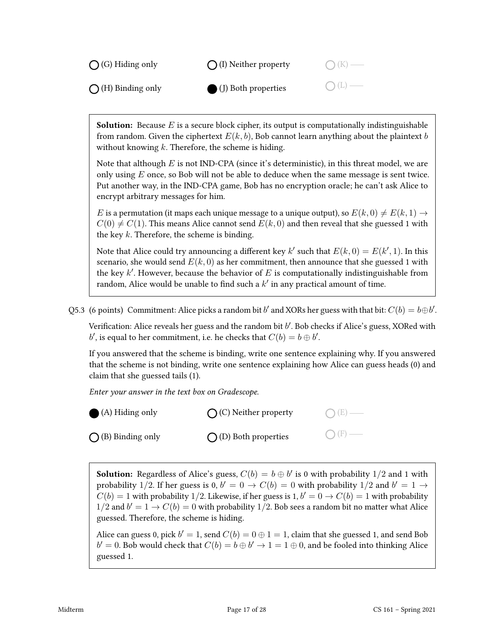

**Solution:** Because E is a secure block cipher, its output is computationally indistinguishable from random. Given the ciphertext  $E(k, b)$ , Bob cannot learn anything about the plaintext b without knowing  $k$ . Therefore, the scheme is hiding.

Note that although  $E$  is not IND-CPA (since it's deterministic), in this threat model, we are only using  $E$  once, so Bob will not be able to deduce when the same message is sent twice. Put another way, in the IND-CPA game, Bob has no encryption oracle; he can't ask Alice to encrypt arbitrary messages for him.

E is a permutation (it maps each unique message to a unique output), so  $E(k, 0) \neq E(k, 1) \rightarrow$  $C(0) \neq C(1)$ . This means Alice cannot send  $E(k, 0)$  and then reveal that she guessed 1 with the key  $k$ . Therefore, the scheme is binding.

Note that Alice could try announcing a different key  $k'$  such that  $E(k, 0) = E(k', 1)$ . In this scenario, she would send  $E(k, 0)$  as her commitment, then announce that she guessed 1 with the key  $k'$ . However, because the behavior of  $E$  is computationally indistinguishable from random, Alice would be unable to find such a  $k'$  in any practical amount of time.

Q5.3 (6 points) Commitment: Alice picks a random bit b' and XORs her guess with that bit:  $C(b) = b \oplus b'$ .

Verification: Alice reveals her guess and the random bit  $b'$ . Bob checks if Alice's guess, XORed with b', is equal to her commitment, i.e. he checks that  $C(b) = b \oplus b'$ .

If you answered that the scheme is binding, write one sentence explaining why. If you answered that the scheme is not binding, write one sentence explaining how Alice can guess heads (0) and claim that she guessed tails (1).

Enter your answer in the text box on Gradescope.

| $\bigcirc$ (A) Hiding only | $\bigcap$ (C) Neither property | $O(E)$ —        |
|----------------------------|--------------------------------|-----------------|
| $\bigcap$ (B) Binding only | $\bigcap$ (D) Both properties  | $\bigcap$ (F) — |

**Solution:** Regardless of Alice's guess,  $C(b) = b \oplus b'$  is 0 with probability 1/2 and 1 with probability 1/2. If her guess is 0,  $b' = 0 \rightarrow C(b) = 0$  with probability 1/2 and  $b' = 1 \rightarrow$  $C(b) = 1$  with probability 1/2. Likewise, if her guess is 1,  $b' = 0 \rightarrow C(b) = 1$  with probability  $1/2$  and  $b' = 1 \rightarrow C(b) = 0$  with probability  $1/2$ . Bob sees a random bit no matter what Alice guessed. Therefore, the scheme is hiding.

Alice can guess 0, pick  $b' = 1$ , send  $C(b) = 0 \oplus 1 = 1$ , claim that she guessed 1, and send Bob  $b'=0$ . Bob would check that  $C(b)=b\oplus b'\to 1=1\oplus 0,$  and be fooled into thinking Alice guessed 1.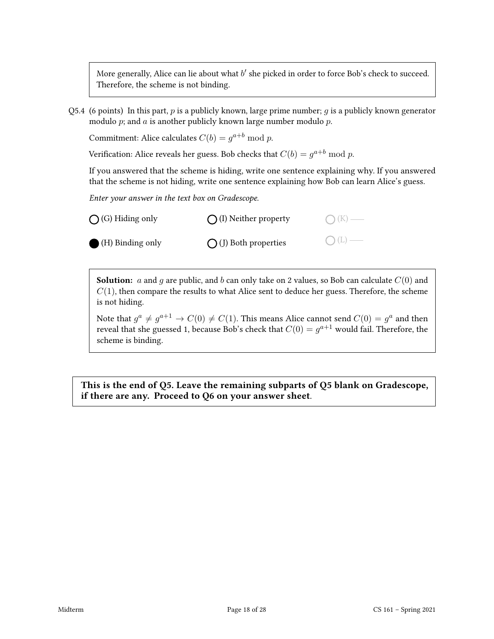More generally, Alice can lie about what  $b'$  she picked in order to force Bob's check to succeed. Therefore, the scheme is not binding.

Q5.4 (6 points) In this part, p is a publicly known, large prime number; q is a publicly known generator modulo  $p$ ; and  $a$  is another publicly known large number modulo  $p$ .

Commitment: Alice calculates  $C(b) = g^{a+b} \bmod p$ .

Verification: Alice reveals her guess. Bob checks that  $C(b) = g^{a+b} \bmod p$ .

If you answered that the scheme is hiding, write one sentence explaining why. If you answered that the scheme is not hiding, write one sentence explaining how Bob can learn Alice's guess.

Enter your answer in the text box on Gradescope.

| $\bigcirc$ (G) Hiding only | $\bigcap$ (I) Neither property | $O(K)$ — |
|----------------------------|--------------------------------|----------|
| (H) Binding only           | $\bigcap$ (J) Both properties  | $O(L)$ — |

**Solution:** a and g are public, and b can only take on 2 values, so Bob can calculate  $C(0)$  and  $C(1)$ , then compare the results to what Alice sent to deduce her guess. Therefore, the scheme is not hiding.

Note that  $g^a \neq g^{a+1} \to C(0) \neq C(1)$ . This means Alice cannot send  $C(0) = g^a$  and then reveal that she guessed 1, because Bob's check that  $C(0)=g^{a+1}$  would fail. Therefore, the scheme is binding.

This is the end of Q5. Leave the remaining subparts of Q5 blank on Gradescope, if there are any. Proceed to Q6 on your answer sheet.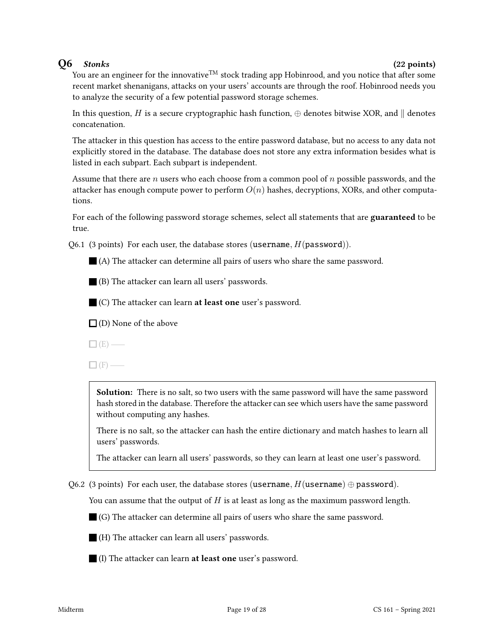### $Q6$  Stonks (22 points)

You are an engineer for the innovative<sup>TM</sup> stock trading app Hobinrood, and you notice that after some recent market shenanigans, attacks on your users' accounts are through the roof. Hobinrood needs you to analyze the security of a few potential password storage schemes.

In this question, H is a secure cryptographic hash function,  $\oplus$  denotes bitwise XOR, and  $\parallel$  denotes concatenation.

The attacker in this question has access to the entire password database, but no access to any data not explicitly stored in the database. The database does not store any extra information besides what is listed in each subpart. Each subpart is independent.

Assume that there are n users who each choose from a common pool of n possible passwords, and the attacker has enough compute power to perform  $O(n)$  hashes, decryptions, XORs, and other computations.

For each of the following password storage schemes, select all statements that are guaranteed to be true.

Q6.1 (3 points) For each user, the database stores (username,  $H(password)$ ).

(A) The attacker can determine all pairs of users who share the same password.

(B) The attacker can learn all users' passwords.

 $\blacksquare$  (C) The attacker can learn **at least one** user's password.

 $\Box$  (D) None of the above

 $\Box$ (E) —

 $\Box$  (F) —

Solution: There is no salt, so two users with the same password will have the same password hash stored in the database. Therefore the attacker can see which users have the same password without computing any hashes.

There is no salt, so the attacker can hash the entire dictionary and match hashes to learn all users' passwords.

The attacker can learn all users' passwords, so they can learn at least one user's password.

Q6.2 (3 points) For each user, the database stores (username,  $H$ (username)  $\oplus$  password).

You can assume that the output of  $H$  is at least as long as the maximum password length.

(G) The attacker can determine all pairs of users who share the same password.

(H) The attacker can learn all users' passwords.

(I) The attacker can learn at least one user's password.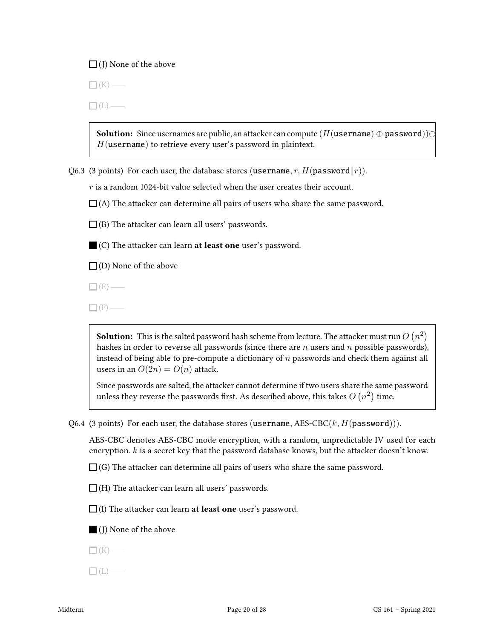#### $\Box$  (J) None of the above

 $\Box$  (K) —

 $\Box$ (L) —

**Solution:** Since usernames are public, an attacker can compute ( $H$ (username)  $\oplus$  password)) $\oplus$  $H$ (username) to retrieve every user's password in plaintext.

Q6.3 (3 points) For each user, the database stores (username, r,  $H(p$ assword $||r)$ ).

 $r$  is a random 1024-bit value selected when the user creates their account.

 $\Box$ (A) The attacker can determine all pairs of users who share the same password.

 $\Box$  (B) The attacker can learn all users' passwords.

(C) The attacker can learn at least one user's password.

 $\square$  (D) None of the above

 $\Box$  (E) —

 $\Box$ (F) —

**Solution:** This is the salted password hash scheme from lecture. The attacker must run  $O\left(n^{2}\right)$ hashes in order to reverse all passwords (since there are  $n$  users and  $n$  possible passwords), instead of being able to pre-compute a dictionary of n passwords and check them against all users in an  $O(2n) = O(n)$  attack.

Since passwords are salted, the attacker cannot determine if two users share the same password unless they reverse the passwords first. As described above, this takes  $O\left(n^{2}\right)$  time.

Q6.4 (3 points) For each user, the database stores (username, AES-CBC $(k, H(password)))$ .

AES-CBC denotes AES-CBC mode encryption, with a random, unpredictable IV used for each encryption.  $k$  is a secret key that the password database knows, but the attacker doesn't know.

 $\Box$  (G) The attacker can determine all pairs of users who share the same password.

 $\Box$  (H) The attacker can learn all users' passwords.

 $\Box$  (I) The attacker can learn **at least one** user's password.

(J) None of the above

 $\Box$ (K) —

 $\Box$  (L) —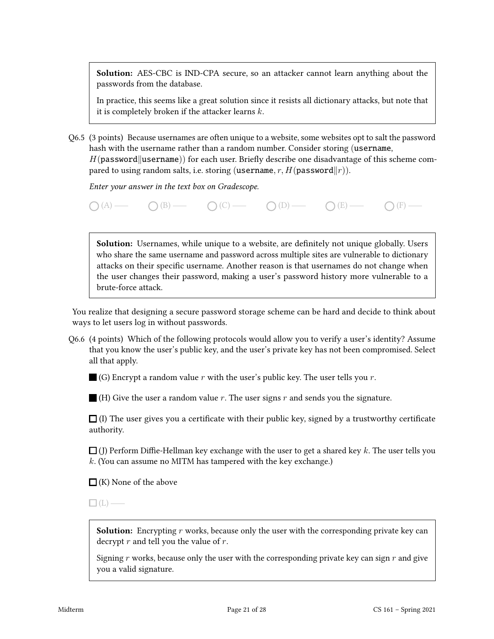Solution: AES-CBC is IND-CPA secure, so an attacker cannot learn anything about the passwords from the database.

In practice, this seems like a great solution since it resists all dictionary attacks, but note that it is completely broken if the attacker learns  $k$ .

Q6.5 (3 points) Because usernames are often unique to a website, some websites opt to salt the password hash with the username rather than a random number. Consider storing (username,  $H(password||username))$  for each user. Briefly describe one disadvantage of this scheme compared to using random salts, i.e. storing (username, r,  $H(p$ assword $||r|$ ).

Enter your answer in the text box on Gradescope.



**Solution:** Usernames, while unique to a website, are definitely not unique globally. Users who share the same username and password across multiple sites are vulnerable to dictionary attacks on their specific username. Another reason is that usernames do not change when the user changes their password, making a user's password history more vulnerable to a brute-force attack.

You realize that designing a secure password storage scheme can be hard and decide to think about ways to let users log in without passwords.

Q6.6 (4 points) Which of the following protocols would allow you to verify a user's identity? Assume that you know the user's public key, and the user's private key has not been compromised. Select all that apply.

 $\Box$  (G) Encrypt a random value r with the user's public key. The user tells you r.

 $\blacksquare$  (H) Give the user a random value r. The user signs r and sends you the signature.

 $\Box$  (I) The user gives you a certificate with their public key, signed by a trustworthy certificate authority.

 $\Box$  (J) Perform Diffie-Hellman key exchange with the user to get a shared key k. The user tells you  $k$ . (You can assume no MITM has tampered with the key exchange.)

 $\Box$  (K) None of the above

 $\Box$ (L) —

**Solution:** Encrypting  $r$  works, because only the user with the corresponding private key can decrypt  $r$  and tell you the value of  $r$ .

Signing  $r$  works, because only the user with the corresponding private key can sign  $r$  and give you a valid signature.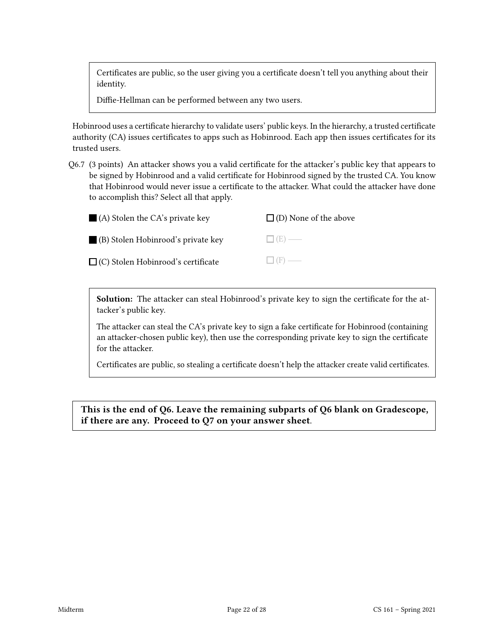Certificates are public, so the user giving you a certificate doesn't tell you anything about their identity.

Diffie-Hellman can be performed between any two users.

Hobinrood uses a certificate hierarchy to validate users' public keys. In the hierarchy, a trusted certificate authority (CA) issues certificates to apps such as Hobinrood. Each app then issues certificates for its trusted users.

Q6.7 (3 points) An attacker shows you a valid certificate for the attacker's public key that appears to be signed by Hobinrood and a valid certificate for Hobinrood signed by the trusted CA. You know that Hobinrood would never issue a certificate to the attacker. What could the attacker have done to accomplish this? Select all that apply.

| $\blacksquare$ (A) Stolen the CA's private key | $\Box$ (D) None of the above |
|------------------------------------------------|------------------------------|
| (B) Stolen Hobinrood's private key             | $\Box$ (E) —                 |
| $\Box$ (C) Stolen Hobinrood's certificate      | $\Box$ (F) —                 |

Solution: The attacker can steal Hobinrood's private key to sign the certificate for the attacker's public key.

The attacker can steal the CA's private key to sign a fake certificate for Hobinrood (containing an attacker-chosen public key), then use the corresponding private key to sign the certificate for the attacker.

Certificates are public, so stealing a certificate doesn't help the attacker create valid certificates.

This is the end of Q6. Leave the remaining subparts of Q6 blank on Gradescope, if there are any. Proceed to Q7 on your answer sheet.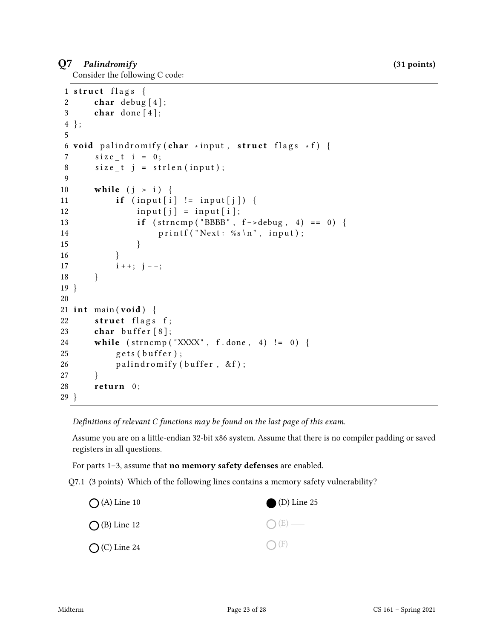#### Q7 Palindromify (31 points)

Consider the following C code:

```
1 struct flags {
2 char debug [4];
3 char done [4];
4};
5
6 void palindromify (char *input, struct flags *f) {
7 size t i = 0;
8 size_t j = strlen(input);
9
10 while (j > i) {
11 if (input[i] != input[j]) {
12 input [j] = input [i];
13 if \text{strncmp}("BBBB", f \text{-} > \text{delay}, 4) == 0)14 printf ("Next: %s\n", input);
\left| \frac{15}{2} \right| }
16 }
17 i + +; j - -;18 }
19 }
20
21 int main (void) {
22 struct flags f;
23 char buffer [8];
24 while \text{(strncmp("XXXX", f.done, 4)} := 0)25 gets (buffer);
26 palindromify (buffer, &f);
27 }
28 return 0;
29 }
```
Definitions of relevant C functions may be found on the last page of this exam.

Assume you are on a little-endian 32-bit x86 system. Assume that there is no compiler padding or saved registers in all questions.

For parts 1–3, assume that no memory safety defenses are enabled.

Q7.1 (3 points) Which of the following lines contains a memory safety vulnerability?

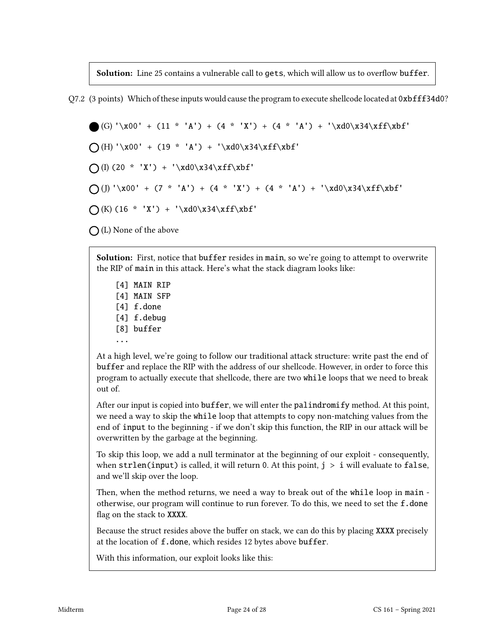Solution: Line 25 contains a vulnerable call to gets, which will allow us to overflow buffer.

Q7.2 (3 points) Which of these inputs would cause the program to execute shellcode located at 0xbfff34d0?

 $(G)' \times 00' + (11 * 'A') + (4 * 'X') + (4 * 'A') + ' \times d0 \times 34 \times f \times b f'$  $\bigcap(H) \setminus x00' + (19 * 'A') + \setminus xd0\x34\xff\xbf'$  $\bigcap$ (I) (20 \* 'X') + '\xd0\x34\xff\xbf'  $\bigcap (J) \setminus x00' + (7 * 'A') + (4 * 'X') + (4 * 'A') + \setminus xd0\x34\xff\xbf'$  $\bigcap (K) (16 * 'X') + ' \xd0\x34\xff\xbf'$ 

 $\bigcap$  (L) None of the above

Solution: First, notice that buffer resides in main, so we're going to attempt to overwrite the RIP of main in this attack. Here's what the stack diagram looks like:

- [4] MAIN RIP
- [4] MAIN SFP
- [4] f.done
- [4] f.debug
- [8] buffer
- ...

At a high level, we're going to follow our traditional attack structure: write past the end of buffer and replace the RIP with the address of our shellcode. However, in order to force this program to actually execute that shellcode, there are two while loops that we need to break out of.

After our input is copied into buffer, we will enter the palindromify method. At this point, we need a way to skip the while loop that attempts to copy non-matching values from the end of input to the beginning - if we don't skip this function, the RIP in our attack will be overwritten by the garbage at the beginning.

To skip this loop, we add a null terminator at the beginning of our exploit - consequently, when strlen(input) is called, it will return 0. At this point,  $j > i$  will evaluate to false, and we'll skip over the loop.

Then, when the method returns, we need a way to break out of the while loop in main otherwise, our program will continue to run forever. To do this, we need to set the f.done flag on the stack to XXXX.

Because the struct resides above the buffer on stack, we can do this by placing XXXX precisely at the location of f.done, which resides 12 bytes above buffer.

With this information, our exploit looks like this: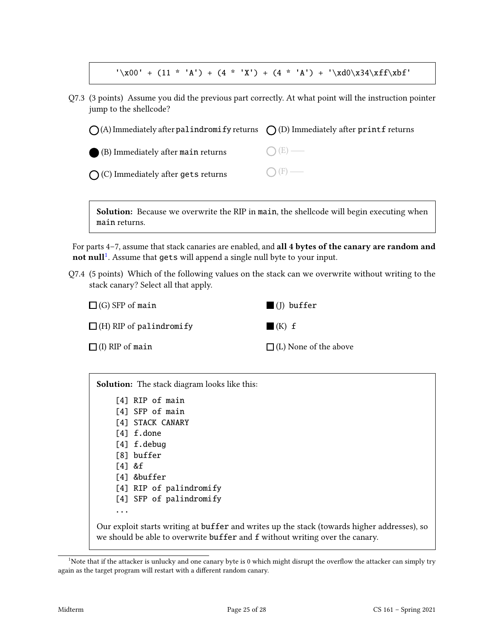$'\x00' + (11 * 'A') + (4 * 'X') + (4 * 'A') + '\xd0\x34\xff\xbf'$ 

Q7.3 (3 points) Assume you did the previous part correctly. At what point will the instruction pointer jump to the shellcode?

| $\bigcap$ (A) Immediately after palindromify returns $\bigcap$ (D) Immediately after printf returns |                 |
|-----------------------------------------------------------------------------------------------------|-----------------|
| (B) Immediately after main returns                                                                  | $\bigcap (E)$ — |
| $\bigcap$ (C) Immediately after gets returns                                                        | $\bigcap$ (F) — |

Solution: Because we overwrite the RIP in main, the shellcode will begin executing when main returns.

For parts 4–7, assume that stack canaries are enabled, and all 4 bytes of the canary are random and not null<sup>[1](#page-24-0)</sup>. Assume that gets will append a single null byte to your input.

Q7.4 (5 points) Which of the following values on the stack can we overwrite without writing to the stack canary? Select all that apply.

| $\Box$ (G) SFP of main         | $\blacksquare$ (I) buffer    |
|--------------------------------|------------------------------|
| $\Box$ (H) RIP of palindromify | $\blacksquare$ (K) $f$       |
| $\Box$ (I) RIP of main         | $\Box$ (L) None of the above |

Solution: The stack diagram looks like this:

[4] RIP of main [4] SFP of main [4] STACK CANARY [4] f.done [4] f.debug [8] buffer

[4] &f

- [4] &buffer
- [4] RIP of palindromify
- [4] SFP of palindromify

...

Our exploit starts writing at buffer and writes up the stack (towards higher addresses), so we should be able to overwrite buffer and f without writing over the canary.

<span id="page-24-0"></span> $1$ Note that if the attacker is unlucky and one canary byte is 0 which might disrupt the overflow the attacker can simply try again as the target program will restart with a different random canary.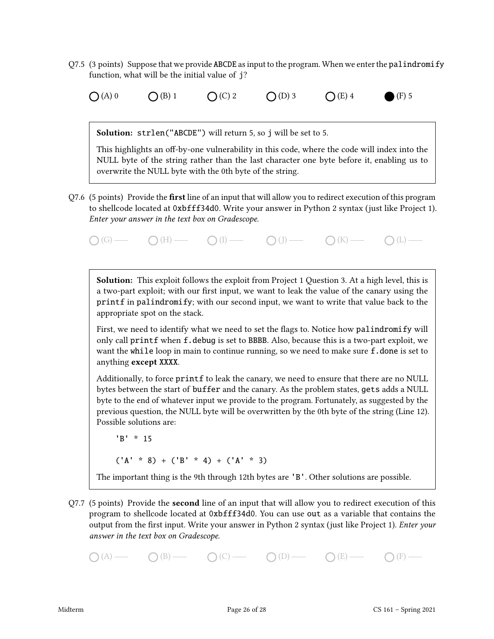- $Q7.5$  (3 points) Suppose that we provide ABCDE as input to the program. When we enter the palindromify function, what will be the initial value of j?
	- (A) 0  $\bigcirc$  (B) 1  $\bigcirc$  (C) 2  $\bigcirc$  (D) 3  $\bigcirc$  (E) 4  $\bigcirc$  (F) 5

Solution: strlen("ABCDE") will return 5, so j will be set to 5.

This highlights an off-by-one vulnerability in this code, where the code will index into the NULL byte of the string rather than the last character one byte before it, enabling us to overwrite the NULL byte with the 0th byte of the string.

 $Q7.6$  (5 points) Provide the **first** line of an input that will allow you to redirect execution of this program to shellcode located at 0xbfff34d0. Write your answer in Python 2 syntax (just like Project 1). Enter your answer in the text box on Gradescope.

 $\bigcap(G)$  (G)  $\longrightarrow$   $\bigcap(H)$   $\longrightarrow$   $\bigcap(I)$   $\longrightarrow$   $\bigcap(I)$   $\longrightarrow$   $\bigcap(K)$   $\longrightarrow$   $\bigcap(L)$   $\longrightarrow$ 

**Solution:** This exploit follows the exploit from Project 1 Question 3. At a high level, this is a two-part exploit; with our first input, we want to leak the value of the canary using the printf in palindromify; with our second input, we want to write that value back to the appropriate spot on the stack.

First, we need to identify what we need to set the flags to. Notice how palindromify will only call printf when f.debug is set to BBBB. Also, because this is a two-part exploit, we want the while loop in main to continue running, so we need to make sure f. done is set to anything except XXXX.

Additionally, to force printf to leak the canary, we need to ensure that there are no NULL bytes between the start of buffer and the canary. As the problem states, gets adds a NULL byte to the end of whatever input we provide to the program. Fortunately, as suggested by the previous question, the NULL byte will be overwritten by the 0th byte of the string (Line 12). Possible solutions are:

'B' \* 15

 $({^1}A' * 8) + ({^1}B' * 4) + ({^1}A' * 3)$ 

The important thing is the 9th through 12th bytes are 'B'. Other solutions are possible.

Q7.7 (5 points) Provide the second line of an input that will allow you to redirect execution of this program to shellcode located at 0xbfff34d0. You can use out as a variable that contains the output from the first input. Write your answer in Python 2 syntax (just like Project 1). *Enter your* answer in the text box on Gradescope.

 $O(A)$   $O(B)$   $O(C)$   $O(D)$   $O(E)$   $O(E)$   $O(F)$   $O(F)$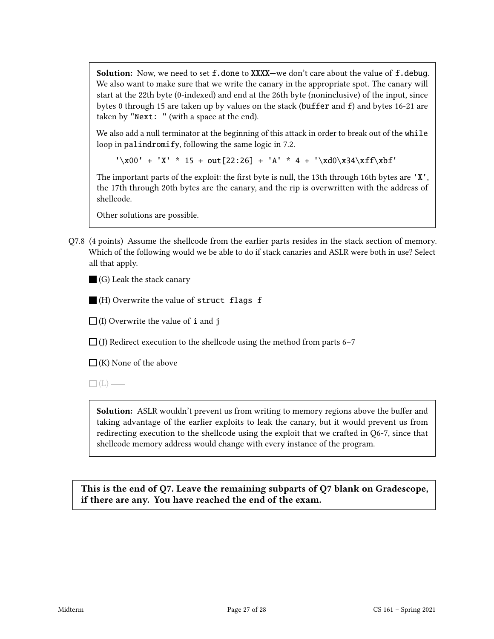**Solution:** Now, we need to set  $f$ . done to XXXX—we don't care about the value of  $f$ . debug. We also want to make sure that we write the canary in the appropriate spot. The canary will start at the 22th byte (0-indexed) and end at the 26th byte (noninclusive) of the input, since bytes 0 through 15 are taken up by values on the stack (buffer and f) and bytes 16-21 are taken by "Next: " (with a space at the end).

We also add a null terminator at the beginning of this attack in order to break out of the while loop in palindromify, following the same logic in 7.2.

 $'\x00' + 'X' * 15 + out[22:26] + 'A' * 4 + '\xd0\x134\x1f\x15$ 

The important parts of the exploit: the first byte is null, the 13th through 16th bytes are  $'X'$ , the 17th through 20th bytes are the canary, and the rip is overwritten with the address of shellcode.

Other solutions are possible.

Q7.8 (4 points) Assume the shellcode from the earlier parts resides in the stack section of memory. Which of the following would we be able to do if stack canaries and ASLR were both in use? Select all that apply.

(G) Leak the stack canary

 $\blacksquare$  (H) Overwrite the value of struct flags f

 $\Box$  (I) Overwrite the value of **i** and **j** 

 $\Box$  (J) Redirect execution to the shellcode using the method from parts 6–7

 $\Box$  (K) None of the above

 $\Box$ (L) —

**Solution:** ASLR wouldn't prevent us from writing to memory regions above the buffer and taking advantage of the earlier exploits to leak the canary, but it would prevent us from redirecting execution to the shellcode using the exploit that we crafted in Q6-7, since that shellcode memory address would change with every instance of the program.

This is the end of Q7. Leave the remaining subparts of Q7 blank on Gradescope, if there are any. You have reached the end of the exam.